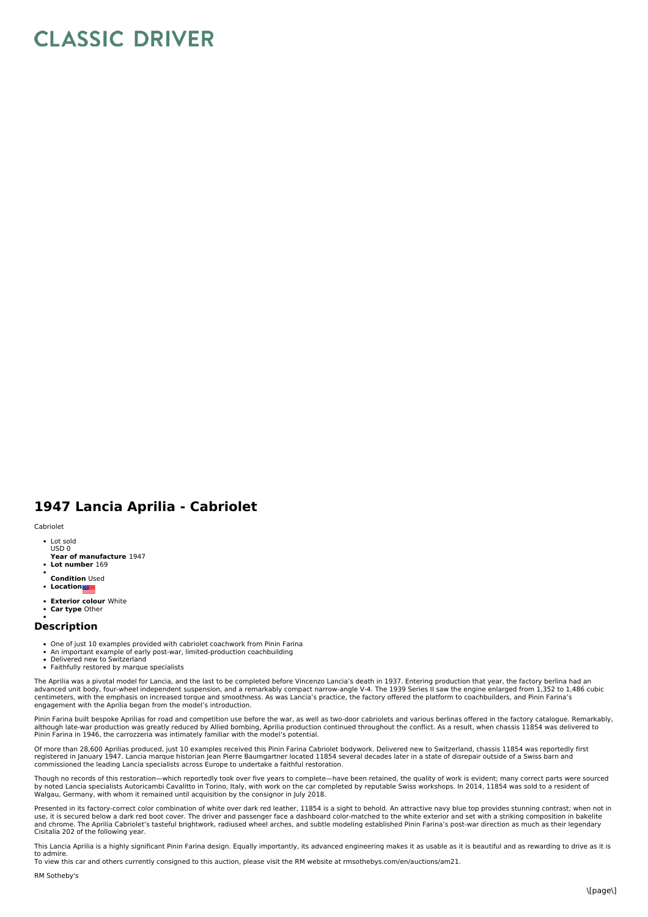## **CLASSIC DRIVER**

## **1947 Lancia Aprilia - Cabriolet**

## Cabriolet

- Lot sold USD 0
- **Year of manufacture** 1947
- **Lot number** 169
- **Condition** Used
- **Location**
- **Exterior colour** White
- **Car type** Other

## **Description**

- 
- One of just 10 examples provided with cabriolet coachwork from Pinin Farina<br>An important example of early post-war, limited-production coachbuilding
- Delivered new to Switzerland
- Faithfully restored by marque specialists

The Aprilia was a pivotal model for Lancia, and the last to be completed before Vincenzo Lancia's death in 1937. Entering production that year, the factory berlina had an advanced unit body, four-wheel independent suspension, and a remarkably compact narrow-angle V-4. The 1939 Series II saw the engine enlarged from 1,352 to 1,486 cubic<br>centimeters, with the emphasis on increased torque and engagement with the Aprilia began from the model's introduction.

Pinin Farina built bespoke Aprilias for road and competition use before the war, as well as two-door cabriolets and various berlinas offered in the factory catalogue. Remarkably, although late-war production was greatly reduced by Allied bombing, Aprilia production continued throughout the conflict. As a result, when chassis 11854 was delivered to Pinin Farina in 1946, the carrozzeria was intimately familiar with the model's potential.

Of more than 28,600 Aprilias produced, just 10 examples received this Pinin Farina Cabriolet bodywork. Delivered new to Switzerland, chassis 11854 was reportedly first registered in January 1947. Lancia marque historian Jean Pierre Baumgartner located 11854 several decades later in a state of disrepair outside of a Swiss barn and<br>commissioned the leading Lancia specialists across Europe

Though no records of this restoration—which reportedly took over five years to complete—have been retained, the quality of work is evident; many correct parts were sourced<br>by noted Lancia specialists Autoricambi Cavalitto Walgau, Germany, with whom itremained until acquisition by the consignor in July 2018.

Presented in its factory-correct color combination of white over dark red leather, 11854 is a sight to behold. An attractive navy blue top provides stunning contrast; when not in<br>use, it is secured below a dark red boot co and chrome. The Aprilia Cabriolet's tasteful brightwork, radiused wheel arches, and subtle modeling established Pinin Farina's post-war direction as much as their legendary Cisitalia 202 of the following year.

This Lancia Aprilia is a highly significant Pinin Farina design. Equally importantly, its advanced engineering makes it as usable as it is beautiful and as rewarding to drive as it is to admire.

To view this car and others currently consigned to this auction, please visit the RM website at rmsothebys.com/en/auctions/am21.